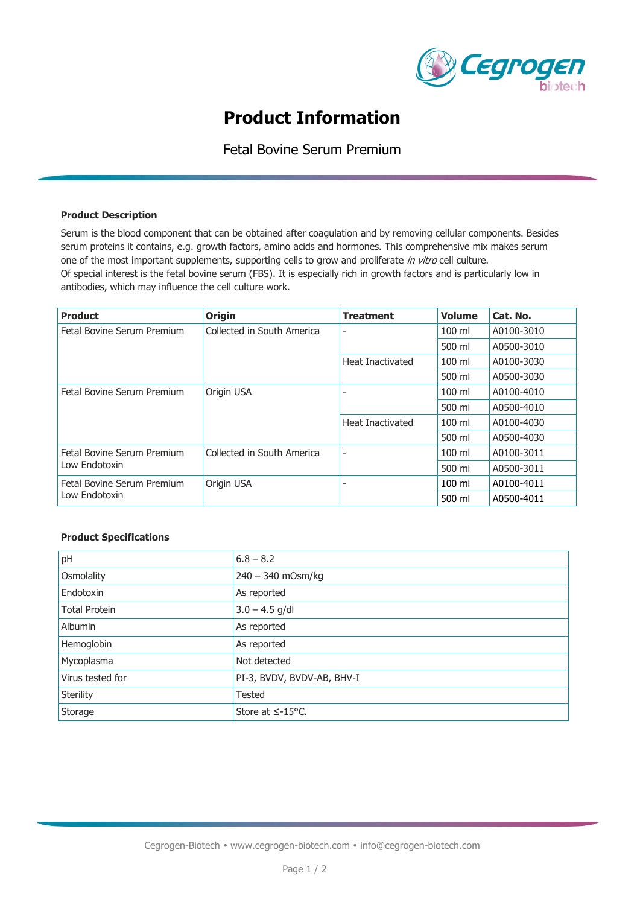

# **Product Information**

Fetal Bovine Serum Premium

#### **Product Description**

Serum is the blood component that can be obtained after coagulation and by removing cellular components. Besides serum proteins it contains, e.g. growth factors, amino acids and hormones. This comprehensive mix makes serum one of the most important supplements, supporting cells to grow and proliferate in vitro cell culture. Of special interest is the fetal bovine serum (FBS). It is especially rich in growth factors and is particularly low in antibodies, which may influence the cell culture work.

| <b>Product</b>                              | <b>Origin</b>              | <b>Treatment</b> | <b>Volume</b> | Cat. No.   |
|---------------------------------------------|----------------------------|------------------|---------------|------------|
| Fetal Bovine Serum Premium                  | Collected in South America | ۰                | 100 ml        | A0100-3010 |
|                                             |                            |                  | 500 ml        | A0500-3010 |
|                                             |                            | Heat Inactivated | $100$ ml      | A0100-3030 |
|                                             |                            |                  | 500 ml        | A0500-3030 |
| Fetal Bovine Serum Premium                  | Origin USA                 |                  | $100$ ml      | A0100-4010 |
|                                             |                            |                  | 500 ml        | A0500-4010 |
|                                             |                            | Heat Inactivated | $100$ ml      | A0100-4030 |
|                                             |                            |                  | 500 ml        | A0500-4030 |
| Fetal Bovine Serum Premium<br>Low Endotoxin | Collected in South America |                  | $100$ ml      | A0100-3011 |
|                                             |                            |                  | 500 ml        | A0500-3011 |
| Fetal Bovine Serum Premium<br>Low Endotoxin | Origin USA                 | ۰                | $100$ ml      | A0100-4011 |
|                                             |                            |                  | 500 ml        | A0500-4011 |

### **Product Specifications**

| pH                   | $6.8 - 8.2$                |
|----------------------|----------------------------|
| Osmolality           | 240 - 340 mOsm/kg          |
| Endotoxin            | As reported                |
| <b>Total Protein</b> | $3.0 - 4.5$ g/dl           |
| <b>Albumin</b>       | As reported                |
| Hemoglobin           | As reported                |
| Mycoplasma           | Not detected               |
| Virus tested for     | PI-3, BVDV, BVDV-AB, BHV-I |
| Sterility            | <b>Tested</b>              |
| Storage              | Store at $\leq$ -15°C.     |